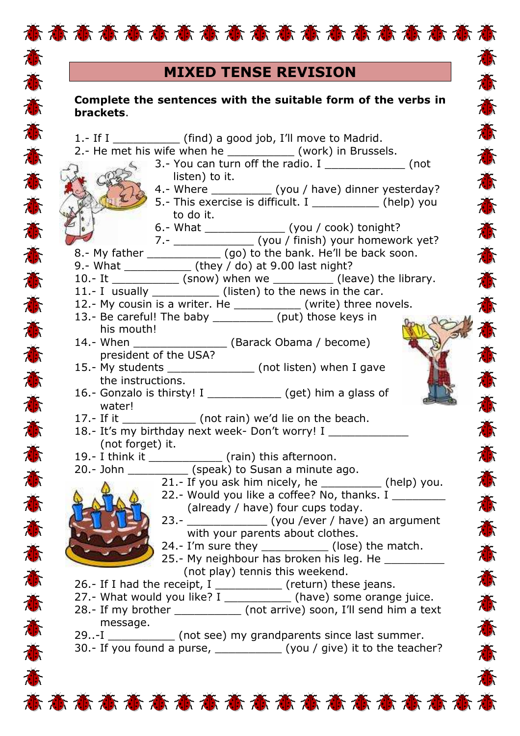